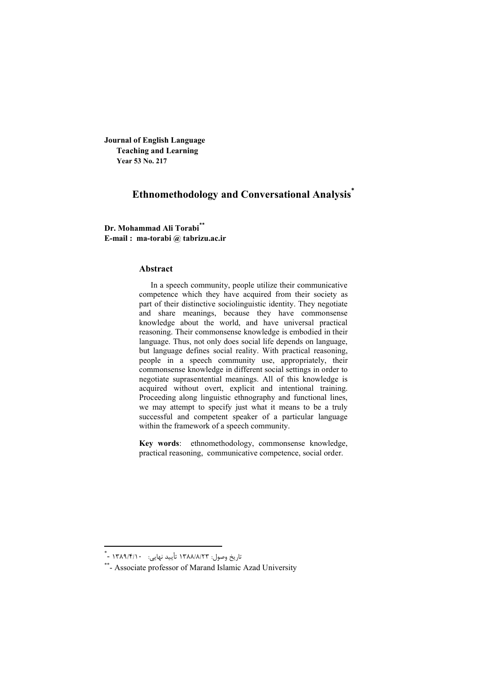**Journal of English Language Teaching and Learning Year 53 No. 217**

# **Ethnomethodology and Conversational Analysis\***

**Dr. Mohammad Ali Torabi\*\* E-mail : ma-torabi @ tabrizu.ac.ir**

#### **Abstract**

In a speech community, people utilize their communicative competence which they have acquired from their society as part of their distinctive sociolinguistic identity. They negotiate and share meanings, because they have commonsense knowledge about the world, and have universal practical reasoning. Their commonsense knowledge is embodied in their language. Thus, not only does social life depends on language, but language defines social reality. With practical reasoning, people in a speech community use, appropriately, their commonsense knowledge in different social settings in order to negotiate suprasentential meanings. All of this knowledge is acquired without overt, explicit and intentional training. Proceeding along linguistic ethnography and functional lines, we may attempt to specify just what it means to be a truly successful and competent speaker of a particular language within the framework of a speech community.

**Key words**: ethnomethodology, commonsense knowledge, practical reasoning, communicative competence, social order.

 \* - 1389 /4/ 10 : نهایی تأیید 1388 /8/ 23 :وصول تاریخ

<sup>\*\*-</sup> Associate professor of Marand Islamic Azad University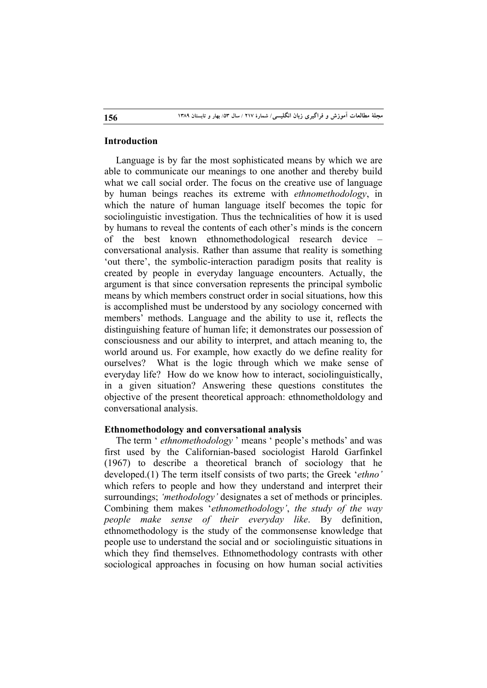# **Introduction**

Language is by far the most sophisticated means by which we are able to communicate our meanings to one another and thereby build what we call social order. The focus on the creative use of language by human beings reaches its extreme with *ethnomethodology*, in which the nature of human language itself becomes the topic for sociolinguistic investigation. Thus the technicalities of how it is used by humans to reveal the contents of each other's minds is the concern of the best known ethnomethodological research device – conversational analysis. Rather than assume that reality is something 'out there', the symbolic-interaction paradigm posits that reality is created by people in everyday language encounters. Actually, the argument is that since conversation represents the principal symbolic means by which members construct order in social situations, how this is accomplished must be understood by any sociology concerned with members' methods. Language and the ability to use it, reflects the distinguishing feature of human life; it demonstrates our possession of consciousness and our ability to interpret, and attach meaning to, the world around us. For example, how exactly do we define reality for ourselves? What is the logic through which we make sense of everyday life? How do we know how to interact, sociolinguistically, in a given situation? Answering these questions constitutes the objective of the present theoretical approach: ethnometholdology and conversational analysis.

### **Ethnomethodology and conversational analysis**

The term ' *ethnomethodology* ' means ' people's methods' and was first used by the Californian-based sociologist Harold Garfinkel (1967) to describe a theoretical branch of sociology that he developed.(1) The term itself consists of two parts; the Greek '*ethno'*  which refers to people and how they understand and interpret their surroundings; *'methodology'* designates a set of methods or principles. Combining them makes '*ethnomethodology'*, *the study of the way people make sense of their everyday like*. By definition, ethnomethodology is the study of the commonsense knowledge that people use to understand the social and or sociolinguistic situations in which they find themselves. Ethnomethodology contrasts with other sociological approaches in focusing on how human social activities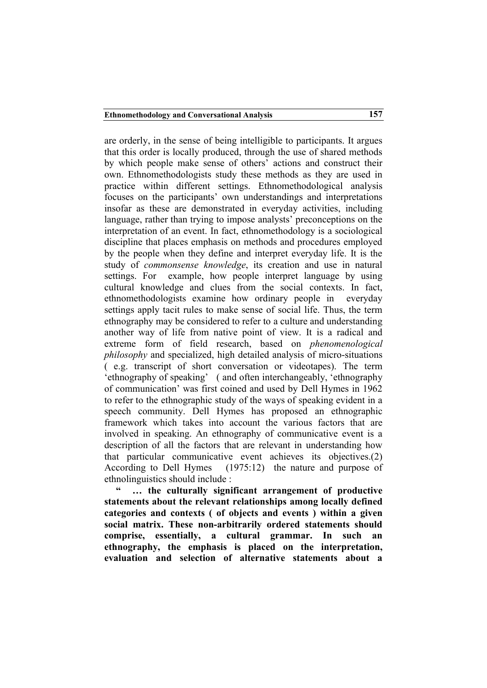are orderly, in the sense of being intelligible to participants. It argues that this order is locally produced, through the use of shared methods by which people make sense of others' actions and construct their own. Ethnomethodologists study these methods as they are used in practice within different settings. Ethnomethodological analysis focuses on the participants' own understandings and interpretations insofar as these are demonstrated in everyday activities, including language, rather than trying to impose analysts' preconceptions on the interpretation of an event. In fact, ethnomethodology is a sociological discipline that places emphasis on methods and procedures employed by the people when they define and interpret everyday life. It is the study of *commonsense knowledge*, its creation and use in natural settings. For example, how people interpret language by using cultural knowledge and clues from the social contexts. In fact, ethnomethodologists examine how ordinary people in everyday settings apply tacit rules to make sense of social life. Thus, the term ethnography may be considered to refer to a culture and understanding another way of life from native point of view. It is a radical and extreme form of field research, based on *phenomenological philosophy* and specialized, high detailed analysis of micro-situations ( e.g. transcript of short conversation or videotapes). The term 'ethnography of speaking' ( and often interchangeably, 'ethnography of communication' was first coined and used by Dell Hymes in 1962 to refer to the ethnographic study of the ways of speaking evident in a speech community. Dell Hymes has proposed an ethnographic framework which takes into account the various factors that are involved in speaking. An ethnography of communicative event is a description of all the factors that are relevant in understanding how that particular communicative event achieves its objectives.(2) According to Dell Hymes (1975:12) the nature and purpose of ethnolinguistics should include :

... the culturally significant arrangement of productive **statements about the relevant relationships among locally defined categories and contexts ( of objects and events ) within a given social matrix. These non-arbitrarily ordered statements should comprise, essentially, a cultural grammar. In such an ethnography, the emphasis is placed on the interpretation, evaluation and selection of alternative statements about a**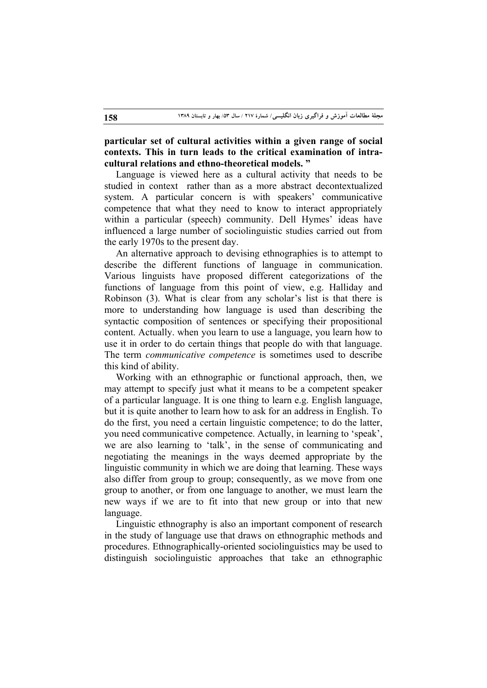**particular set of cultural activities within a given range of social contexts. This in turn leads to the critical examination of intracultural relations and ethno-theoretical models. "**

Language is viewed here as a cultural activity that needs to be studied in context rather than as a more abstract decontextualized system. A particular concern is with speakers' communicative competence that what they need to know to interact appropriately within a particular (speech) community. Dell Hymes' ideas have influenced a large number of sociolinguistic studies carried out from the early 1970s to the present day.

An alternative approach to devising ethnographies is to attempt to describe the different functions of language in communication. Various linguists have proposed different categorizations of the functions of language from this point of view, e.g. Halliday and Robinson (3). What is clear from any scholar's list is that there is more to understanding how language is used than describing the syntactic composition of sentences or specifying their propositional content. Actually. when you learn to use a language, you learn how to use it in order to do certain things that people do with that language. The term *communicative competence* is sometimes used to describe this kind of ability.

Working with an ethnographic or functional approach, then, we may attempt to specify just what it means to be a competent speaker of a particular language. It is one thing to learn e.g. English language, but it is quite another to learn how to ask for an address in English. To do the first, you need a certain linguistic competence; to do the latter, you need communicative competence. Actually, in learning to 'speak', we are also learning to 'talk', in the sense of communicating and negotiating the meanings in the ways deemed appropriate by the linguistic community in which we are doing that learning. These ways also differ from group to group; consequently, as we move from one group to another, or from one language to another, we must learn the new ways if we are to fit into that new group or into that new language.

Linguistic ethnography is also an important component of research in the study of language use that draws on ethnographic methods and procedures. Ethnographically-oriented sociolinguistics may be used to distinguish sociolinguistic approaches that take an ethnographic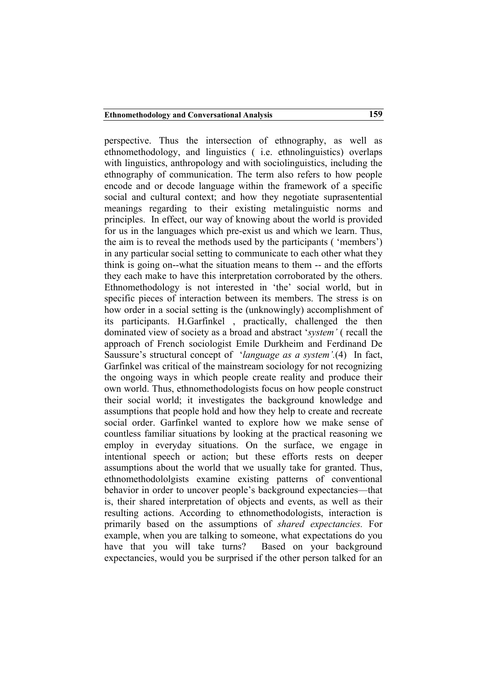perspective. Thus the intersection of ethnography, as well as ethnomethodology, and linguistics ( i.e. ethnolinguistics) overlaps with linguistics, anthropology and with sociolinguistics, including the ethnography of communication. The term also refers to how people encode and or decode language within the framework of a specific social and cultural context; and how they negotiate suprasentential meanings regarding to their existing metalinguistic norms and principles. In effect, our way of knowing about the world is provided for us in the languages which pre-exist us and which we learn. Thus, the aim is to reveal the methods used by the participants ( 'members') in any particular social setting to communicate to each other what they think is going on--what the situation means to them -- and the efforts they each make to have this interpretation corroborated by the others. Ethnomethodology is not interested in 'the' social world, but in specific pieces of interaction between its members. The stress is on how order in a social setting is the (unknowingly) accomplishment of its participants. H.Garfinkel , practically, challenged the then dominated view of society as a broad and abstract '*system'* ( recall the approach of French sociologist Emile Durkheim and Ferdinand De Saussure's structural concept of '*language as a system'.*(4) In fact, Garfinkel was critical of the mainstream sociology for not recognizing the ongoing ways in which people create reality and produce their own world. Thus, ethnomethodologists focus on how people construct their social world; it investigates the background knowledge and assumptions that people hold and how they help to create and recreate social order. Garfinkel wanted to explore how we make sense of countless familiar situations by looking at the practical reasoning we employ in everyday situations. On the surface, we engage in intentional speech or action; but these efforts rests on deeper assumptions about the world that we usually take for granted. Thus, ethnomethodololgists examine existing patterns of conventional behavior in order to uncover people's background expectancies—that is, their shared interpretation of objects and events, as well as their resulting actions. According to ethnomethodologists, interaction is primarily based on the assumptions of *shared expectancies.* For example, when you are talking to someone, what expectations do you have that you will take turns? Based on your background expectancies, would you be surprised if the other person talked for an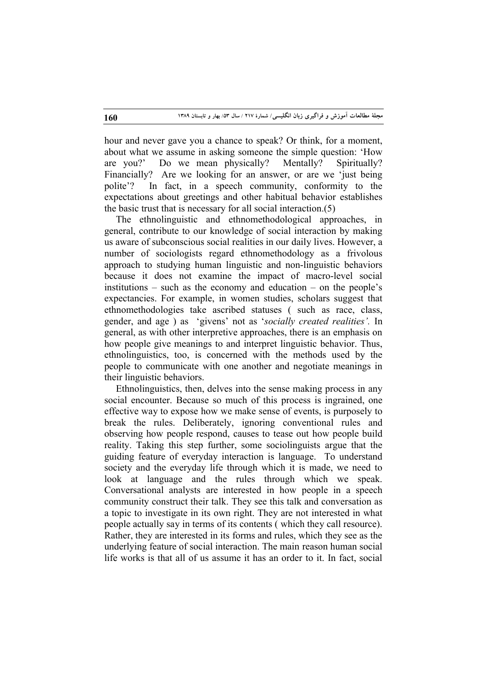hour and never gave you a chance to speak? Or think, for a moment, about what we assume in asking someone the simple question: 'How are you?' Do we mean physically? Mentally? Spiritually? Financially? Are we looking for an answer, or are we 'just being polite'? In fact, in a speech community, conformity to the expectations about greetings and other habitual behavior establishes the basic trust that is necessary for all social interaction.(5)

The ethnolinguistic and ethnomethodological approaches, in general, contribute to our knowledge of social interaction by making us aware of subconscious social realities in our daily lives. However, a number of sociologists regard ethnomethodology as a frivolous approach to studying human linguistic and non-linguistic behaviors because it does not examine the impact of macro-level social institutions – such as the economy and education – on the people's expectancies. For example, in women studies, scholars suggest that ethnomethodologies take ascribed statuses ( such as race, class, gender, and age ) as 'givens' not as '*socially created realities'.* In general, as with other interpretive approaches, there is an emphasis on how people give meanings to and interpret linguistic behavior. Thus, ethnolinguistics, too, is concerned with the methods used by the people to communicate with one another and negotiate meanings in their linguistic behaviors.

Ethnolinguistics, then, delves into the sense making process in any social encounter. Because so much of this process is ingrained, one effective way to expose how we make sense of events, is purposely to break the rules. Deliberately, ignoring conventional rules and observing how people respond, causes to tease out how people build reality. Taking this step further, some sociolinguists argue that the guiding feature of everyday interaction is language. To understand society and the everyday life through which it is made, we need to look at language and the rules through which we speak. Conversational analysts are interested in how people in a speech community construct their talk. They see this talk and conversation as a topic to investigate in its own right. They are not interested in what people actually say in terms of its contents ( which they call resource). Rather, they are interested in its forms and rules, which they see as the underlying feature of social interaction. The main reason human social life works is that all of us assume it has an order to it. In fact, social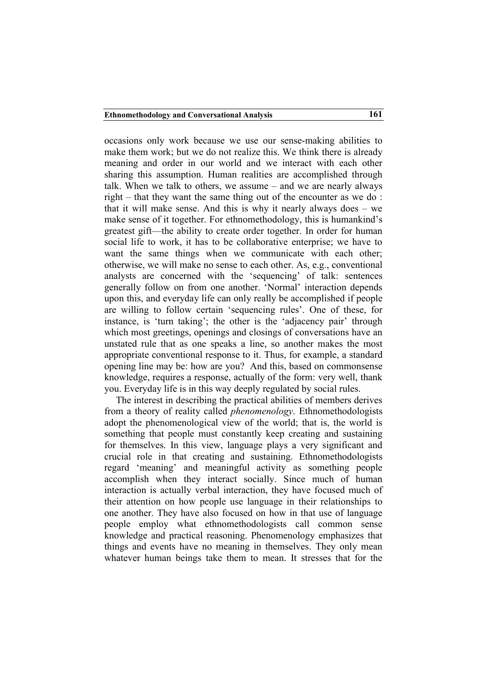occasions only work because we use our sense-making abilities to make them work; but we do not realize this. We think there is already meaning and order in our world and we interact with each other sharing this assumption. Human realities are accomplished through talk. When we talk to others, we assume – and we are nearly always right – that they want the same thing out of the encounter as we do : that it will make sense. And this is why it nearly always does – we make sense of it together. For ethnomethodology, this is humankind's greatest gift—the ability to create order together. In order for human social life to work, it has to be collaborative enterprise; we have to want the same things when we communicate with each other; otherwise, we will make no sense to each other. As, e.g., conventional analysts are concerned with the 'sequencing' of talk: sentences generally follow on from one another. 'Normal' interaction depends upon this, and everyday life can only really be accomplished if people are willing to follow certain 'sequencing rules'. One of these, for instance, is 'turn taking'; the other is the 'adjacency pair' through which most greetings, openings and closings of conversations have an unstated rule that as one speaks a line, so another makes the most appropriate conventional response to it. Thus, for example, a standard opening line may be: how are you? And this, based on commonsense knowledge, requires a response, actually of the form: very well, thank you. Everyday life is in this way deeply regulated by social rules.

The interest in describing the practical abilities of members derives from a theory of reality called *phenomenology*. Ethnomethodologists adopt the phenomenological view of the world; that is, the world is something that people must constantly keep creating and sustaining for themselves. In this view, language plays a very significant and crucial role in that creating and sustaining. Ethnomethodologists regard 'meaning' and meaningful activity as something people accomplish when they interact socially. Since much of human interaction is actually verbal interaction, they have focused much of their attention on how people use language in their relationships to one another. They have also focused on how in that use of language people employ what ethnomethodologists call common sense knowledge and practical reasoning. Phenomenology emphasizes that things and events have no meaning in themselves. They only mean whatever human beings take them to mean. It stresses that for the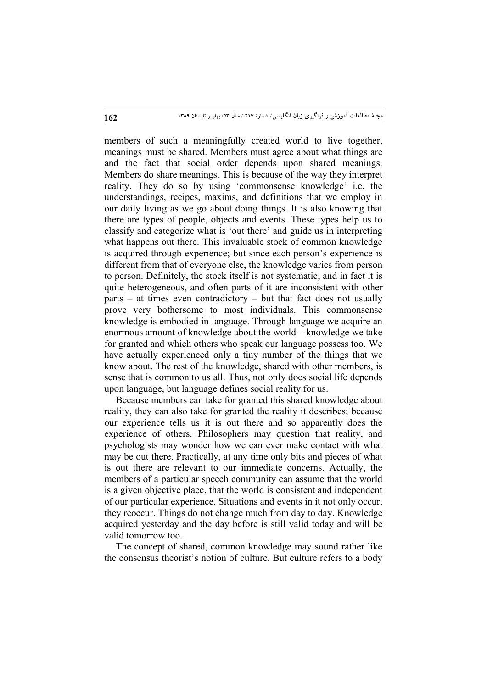members of such a meaningfully created world to live together, meanings must be shared. Members must agree about what things are and the fact that social order depends upon shared meanings. Members do share meanings. This is because of the way they interpret reality. They do so by using 'commonsense knowledge' i.e. the understandings, recipes, maxims, and definitions that we employ in our daily living as we go about doing things. It is also knowing that there are types of people, objects and events. These types help us to classify and categorize what is 'out there' and guide us in interpreting what happens out there. This invaluable stock of common knowledge is acquired through experience; but since each person's experience is different from that of everyone else, the knowledge varies from person to person. Definitely, the stock itself is not systematic; and in fact it is quite heterogeneous, and often parts of it are inconsistent with other parts – at times even contradictory – but that fact does not usually prove very bothersome to most individuals. This commonsense knowledge is embodied in language. Through language we acquire an enormous amount of knowledge about the world – knowledge we take for granted and which others who speak our language possess too. We have actually experienced only a tiny number of the things that we know about. The rest of the knowledge, shared with other members, is sense that is common to us all. Thus, not only does social life depends upon language, but language defines social reality for us.

Because members can take for granted this shared knowledge about reality, they can also take for granted the reality it describes; because our experience tells us it is out there and so apparently does the experience of others. Philosophers may question that reality, and psychologists may wonder how we can ever make contact with what may be out there. Practically, at any time only bits and pieces of what is out there are relevant to our immediate concerns. Actually, the members of a particular speech community can assume that the world is a given objective place, that the world is consistent and independent of our particular experience. Situations and events in it not only occur, they reoccur. Things do not change much from day to day. Knowledge acquired yesterday and the day before is still valid today and will be valid tomorrow too.

The concept of shared, common knowledge may sound rather like the consensus theorist's notion of culture. But culture refers to a body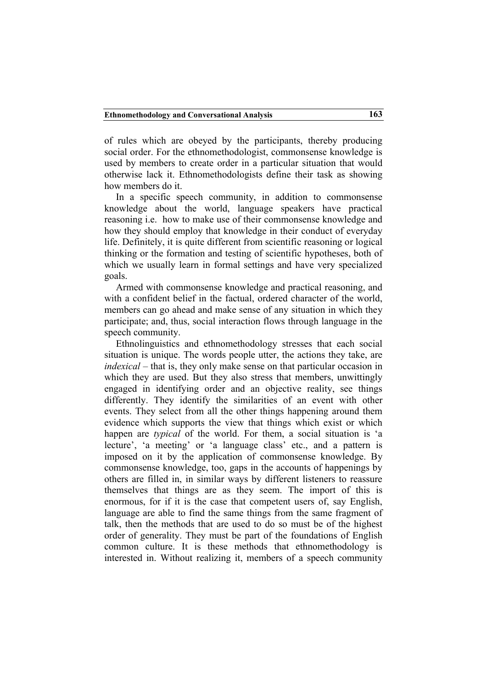of rules which are obeyed by the participants, thereby producing social order. For the ethnomethodologist, commonsense knowledge is used by members to create order in a particular situation that would otherwise lack it. Ethnomethodologists define their task as showing how members do it.

In a specific speech community, in addition to commonsense knowledge about the world, language speakers have practical reasoning i.e. how to make use of their commonsense knowledge and how they should employ that knowledge in their conduct of everyday life. Definitely, it is quite different from scientific reasoning or logical thinking or the formation and testing of scientific hypotheses, both of which we usually learn in formal settings and have very specialized goals.

Armed with commonsense knowledge and practical reasoning, and with a confident belief in the factual, ordered character of the world, members can go ahead and make sense of any situation in which they participate; and, thus, social interaction flows through language in the speech community.

Ethnolinguistics and ethnomethodology stresses that each social situation is unique. The words people utter, the actions they take, are *indexical* – that is, they only make sense on that particular occasion in which they are used. But they also stress that members, unwittingly engaged in identifying order and an objective reality, see things differently. They identify the similarities of an event with other events. They select from all the other things happening around them evidence which supports the view that things which exist or which happen are *typical* of the world. For them, a social situation is 'a lecture', 'a meeting' or 'a language class' etc., and a pattern is imposed on it by the application of commonsense knowledge. By commonsense knowledge, too, gaps in the accounts of happenings by others are filled in, in similar ways by different listeners to reassure themselves that things are as they seem. The import of this is enormous, for if it is the case that competent users of, say English, language are able to find the same things from the same fragment of talk, then the methods that are used to do so must be of the highest order of generality. They must be part of the foundations of English common culture. It is these methods that ethnomethodology is interested in. Without realizing it, members of a speech community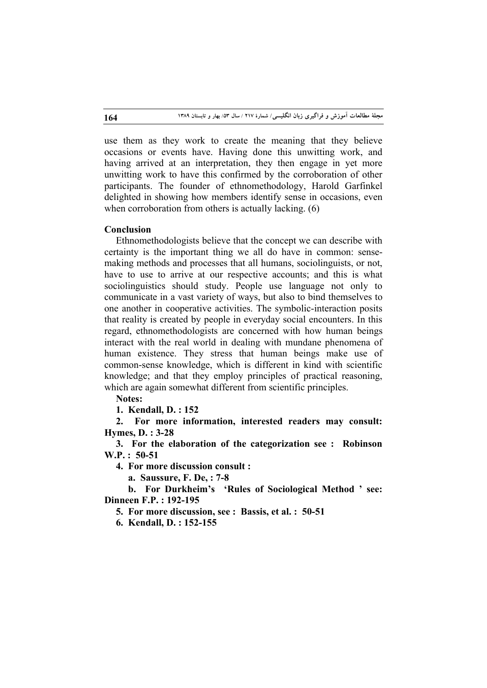use them as they work to create the meaning that they believe occasions or events have. Having done this unwitting work, and having arrived at an interpretation, they then engage in yet more unwitting work to have this confirmed by the corroboration of other participants. The founder of ethnomethodology, Harold Garfinkel delighted in showing how members identify sense in occasions, even when corroboration from others is actually lacking. (6)

### **Conclusion**

Ethnomethodologists believe that the concept we can describe with certainty is the important thing we all do have in common: sensemaking methods and processes that all humans, sociolinguists, or not, have to use to arrive at our respective accounts; and this is what sociolinguistics should study. People use language not only to communicate in a vast variety of ways, but also to bind themselves to one another in cooperative activities. The symbolic-interaction posits that reality is created by people in everyday social encounters. In this regard, ethnomethodologists are concerned with how human beings interact with the real world in dealing with mundane phenomena of human existence. They stress that human beings make use of common-sense knowledge, which is different in kind with scientific knowledge; and that they employ principles of practical reasoning, which are again somewhat different from scientific principles.

**Notes:** 

**1. Kendall, D. : 152**

**2. For more information, interested readers may consult: Hymes, D. : 3-28**

**3. For the elaboration of the categorization see : Robinson W.P. : 50-51**

**4. For more discussion consult :**

 **a. Saussure, F. De, : 7-8**

 **b. For Durkheim's 'Rules of Sociological Method ' see: Dinneen F.P. : 192-195**

**5. For more discussion, see : Bassis, et al. : 50-51**

**6. Kendall, D. : 152-155**